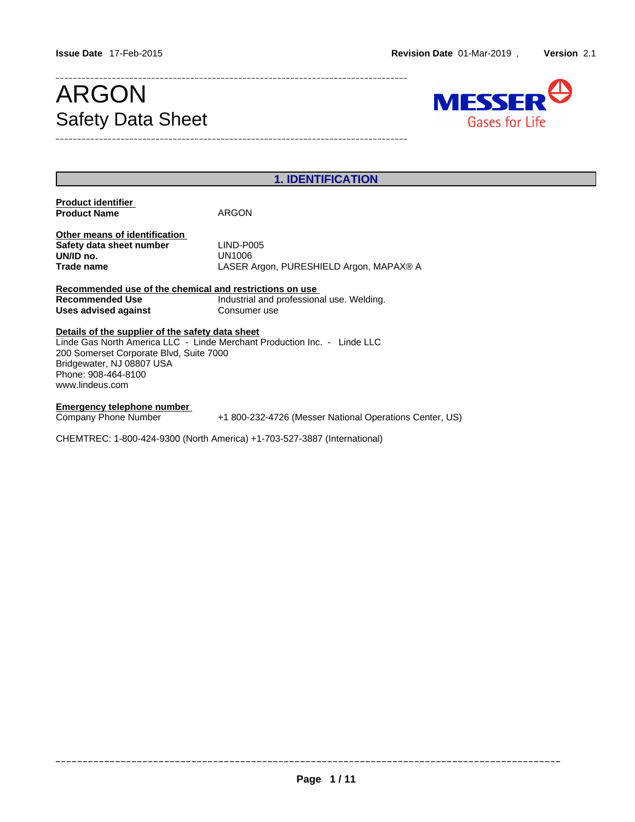# Safety Data Sheet



| <b>1. IDENTIFICATION</b>                                                                                                                                                                                                                       |                                                                |  |  |
|------------------------------------------------------------------------------------------------------------------------------------------------------------------------------------------------------------------------------------------------|----------------------------------------------------------------|--|--|
| <b>Product identifier</b><br><b>Product Name</b>                                                                                                                                                                                               | ARGON                                                          |  |  |
| Other means of identification<br>Safety data sheet number<br>UN/ID no.<br>Trade name                                                                                                                                                           | LIND-P005<br>UN1006<br>LASER Argon, PURESHIELD Argon, MAPAX® A |  |  |
| Recommended use of the chemical and restrictions on use<br><b>Recommended Use</b><br>Uses advised against                                                                                                                                      | Industrial and professional use. Welding.<br>Consumer use      |  |  |
| Details of the supplier of the safety data sheet<br>Linde Gas North America LLC - Linde Merchant Production Inc. - Linde LLC<br>200 Somerset Corporate Blvd, Suite 7000<br>Bridgewater, NJ 08807 USA<br>Phone: 908-464-8100<br>www.lindeus.com |                                                                |  |  |
| <b>Emergency telephone number</b><br>Company Phone Number<br>+1 800-232-4726 (Messer National Operations Center, US)<br>CHEMTREC: 1-800-424-9300 (North America) +1-703-527-3887 (International)                                               |                                                                |  |  |
|                                                                                                                                                                                                                                                |                                                                |  |  |

\_\_\_\_\_\_\_\_\_\_\_\_\_\_\_\_\_\_\_\_\_\_\_\_\_\_\_\_\_\_\_\_\_\_\_\_\_\_\_\_\_\_\_\_\_\_\_\_\_\_\_\_\_\_\_\_\_\_\_\_\_\_\_\_\_\_\_\_\_\_\_\_\_\_\_\_\_\_\_\_\_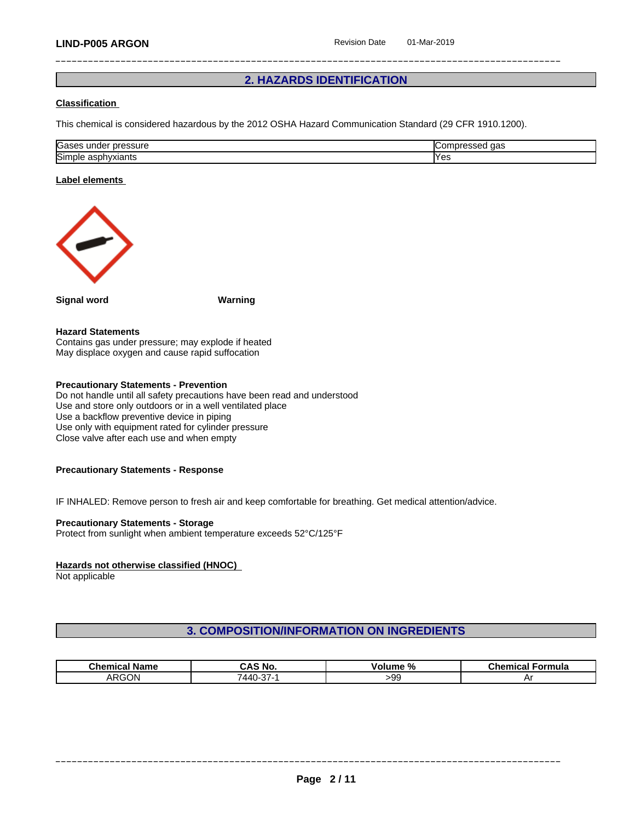## **2. HAZARDS IDENTIFICATION**

#### **Classification**

This chemical is considered hazardous by the 2012 OSHA Hazard Communication Standard (29 CFR 1910.1200).

| Gases<br><br>pressure<br>unae<br>555U G                        | $\sim$<br>∪or<br>uas |
|----------------------------------------------------------------|----------------------|
| <b>Simi</b><br>$\sim$ by a signal $\sim$<br>aspnyxiants<br>ነነር | <b>Yes</b>           |

#### **Label elements**



**Signal word Warning**

#### **Hazard Statements**

Contains gas under pressure; may explode if heated May displace oxygen and cause rapid suffocation

#### **Precautionary Statements - Prevention**

Do not handle until all safety precautions have been read and understood Use and store only outdoors or in a well ventilated place Use a backflow preventive device in piping Use only with equipment rated for cylinder pressure Close valve after each use and when empty

#### **Precautionary Statements - Response**

IF INHALED: Remove person to fresh air and keep comfortable for breathing. Get medical attention/advice.

#### **Precautionary Statements - Storage**

Protect from sunlight when ambient temperature exceeds 52°C/125°F

#### **Hazards not otherwise classified (HNOC)**

Not applicable

#### **3. COMPOSITION/INFORMATION ON INGREDIENTS**

| <b>Chemical Name</b> | 'S No.              | olume " | ີ∩emica∟ |
|----------------------|---------------------|---------|----------|
|                      | ة A.                | -70     | Formula  |
| ARGON                | $\sim$<br>44 C<br>◡ | -99     | ור       |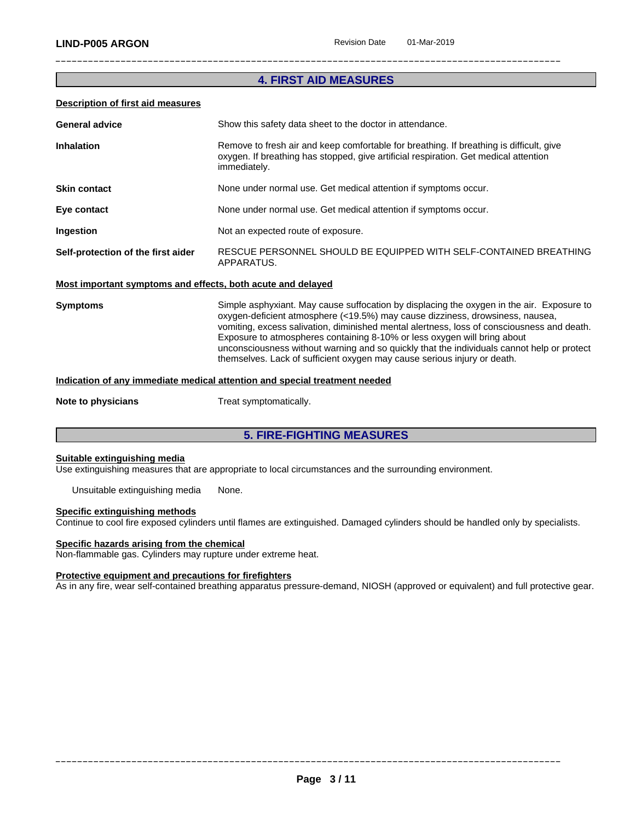## **4. FIRST AID MEASURES**

#### **Description of first aid measures**

| <b>General advice</b>                                       | Show this safety data sheet to the doctor in attendance.                                                                                                                                        |
|-------------------------------------------------------------|-------------------------------------------------------------------------------------------------------------------------------------------------------------------------------------------------|
| <b>Inhalation</b>                                           | Remove to fresh air and keep comfortable for breathing. If breathing is difficult, give<br>oxygen. If breathing has stopped, give artificial respiration. Get medical attention<br>immediately. |
| <b>Skin contact</b>                                         | None under normal use. Get medical attention if symptoms occur.                                                                                                                                 |
| Eye contact                                                 | None under normal use. Get medical attention if symptoms occur.                                                                                                                                 |
| Ingestion                                                   | Not an expected route of exposure.                                                                                                                                                              |
| Self-protection of the first aider                          | RESCUE PERSONNEL SHOULD BE EQUIPPED WITH SELF-CONTAINED BREATHING<br>APPARATUS.                                                                                                                 |
| Most important symptoms and effects, both acute and delayed |                                                                                                                                                                                                 |

#### **Most important symptoms and effects, both acute and delayed**

**Symptoms** Simple asphyxiant. May cause suffocation by displacing the oxygen in the air. Exposure to oxygen-deficient atmosphere (<19.5%) may cause dizziness, drowsiness, nausea, vomiting, excess salivation, diminished mental alertness, loss of consciousness and death. Exposure to atmospheres containing 8-10% or less oxygen will bring about unconsciousness without warning and so quickly that the individuals cannot help or protect themselves. Lack of sufficient oxygen may cause serious injury or death.

#### **Indication of any immediate medical attention and special treatment needed**

**Note to physicians** Treat symptomatically.

## **5. FIRE-FIGHTING MEASURES**

#### **Suitable extinguishing media**

Use extinguishing measures that are appropriate to local circumstances and the surrounding environment.

Unsuitable extinguishing media None.

#### **Specific extinguishing methods**

Continue to cool fire exposed cylinders untilflames are extinguished. Damaged cylinders should be handled only by specialists.

#### **Specific hazards arising from the chemical**

Non-flammable gas. Cylinders may rupture under extreme heat.

#### **Protective equipment and precautions for firefighters**

As in any fire, wear self-contained breathing apparatus pressure-demand, NIOSH (approved or equivalent) and full protective gear.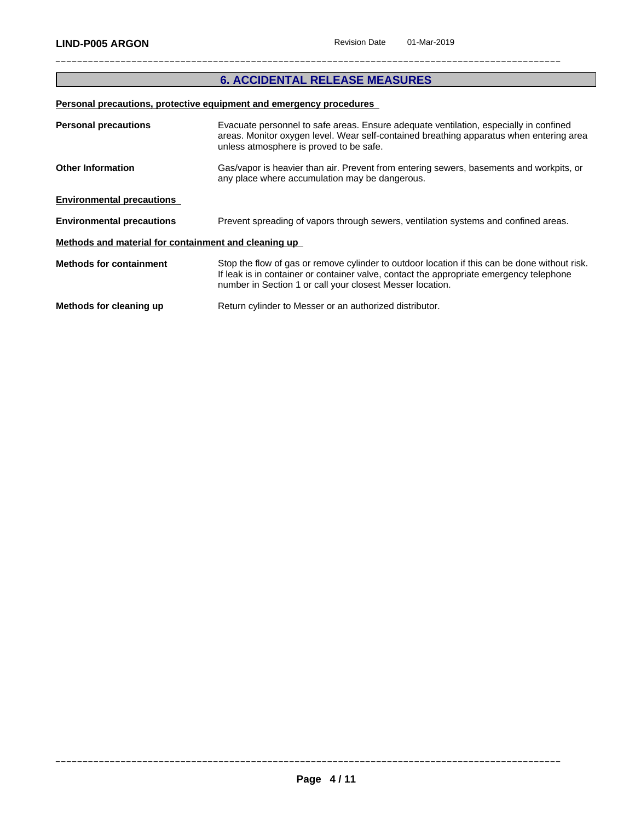## **6. ACCIDENTAL RELEASE MEASURES**

## **Personal precautions, protective equipment and emergency procedures**

| <b>Personal precautions</b>                          | Evacuate personnel to safe areas. Ensure adequate ventilation, especially in confined<br>areas. Monitor oxygen level. Wear self-contained breathing apparatus when entering area<br>unless atmosphere is proved to be safe.                           |
|------------------------------------------------------|-------------------------------------------------------------------------------------------------------------------------------------------------------------------------------------------------------------------------------------------------------|
| <b>Other Information</b>                             | Gas/vapor is heavier than air. Prevent from entering sewers, basements and workpits, or                                                                                                                                                               |
|                                                      | any place where accumulation may be dangerous.                                                                                                                                                                                                        |
| <b>Environmental precautions</b>                     |                                                                                                                                                                                                                                                       |
| <b>Environmental precautions</b>                     | Prevent spreading of vapors through sewers, ventilation systems and confined areas.                                                                                                                                                                   |
| Methods and material for containment and cleaning up |                                                                                                                                                                                                                                                       |
| <b>Methods for containment</b>                       | Stop the flow of gas or remove cylinder to outdoor location if this can be done without risk.<br>If leak is in container or container valve, contact the appropriate emergency telephone<br>number in Section 1 or call your closest Messer location. |
| Methods for cleaning up                              | Return cylinder to Messer or an authorized distributor.                                                                                                                                                                                               |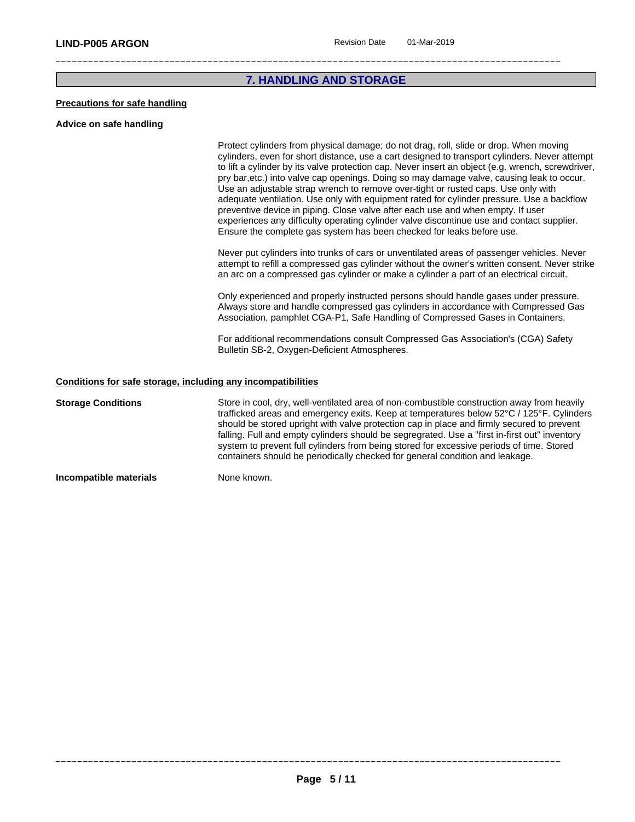## **7. HANDLING AND STORAGE**

#### **Precautions for safe handling**

#### **Advice on safe handling**

Protect cylinders from physical damage; do not drag, roll, slide or drop. When moving cylinders, even for short distance, use a cart designed to transport cylinders. Never attempt to lift a cylinder by its valve protection cap. Never insert an object (e.g. wrench, screwdriver, pry bar,etc.) into valve cap openings. Doing so may damage valve, causing leak to occur. Use an adjustable strap wrench to remove over-tight or rusted caps. Use only with adequate ventilation. Use only with equipment rated for cylinder pressure. Use a backflow preventive device in piping. Close valve after each use and when empty. If user experiences any difficulty operating cylinder valve discontinue use and contact supplier. Ensure the complete gas system has been checked for leaks before use.

Never put cylinders into trunks of cars or unventilated areas of passenger vehicles. Never attempt to refill a compressed gas cylinder without the owner's written consent. Never strike an arc on a compressed gas cylinder or make a cylinder a part of an electrical circuit.

Only experienced and properly instructed persons should handle gases under pressure. Always store and handle compressed gas cylinders in accordance with Compressed Gas Association, pamphlet CGA-P1, Safe Handling of Compressed Gases in Containers.

For additional recommendations consult Compressed Gas Association's (CGA) Safety Bulletin SB-2, Oxygen-Deficient Atmospheres.

#### **Conditions for safe storage, including any incompatibilities**

**Storage Conditions** Store in cool, dry, well-ventilated area of non-combustible construction away from heavily trafficked areas and emergency exits. Keep at temperatures below 52°C / 125°F. Cylinders should be stored upright with valve protection cap in place and firmly secured to prevent falling. Full and empty cylinders should be segregrated. Use a "first in-first out" inventory system to prevent full cylinders from being stored for excessive periods of time. Stored containers should be periodically checked for general condition and leakage.

**Incompatible materials** None known.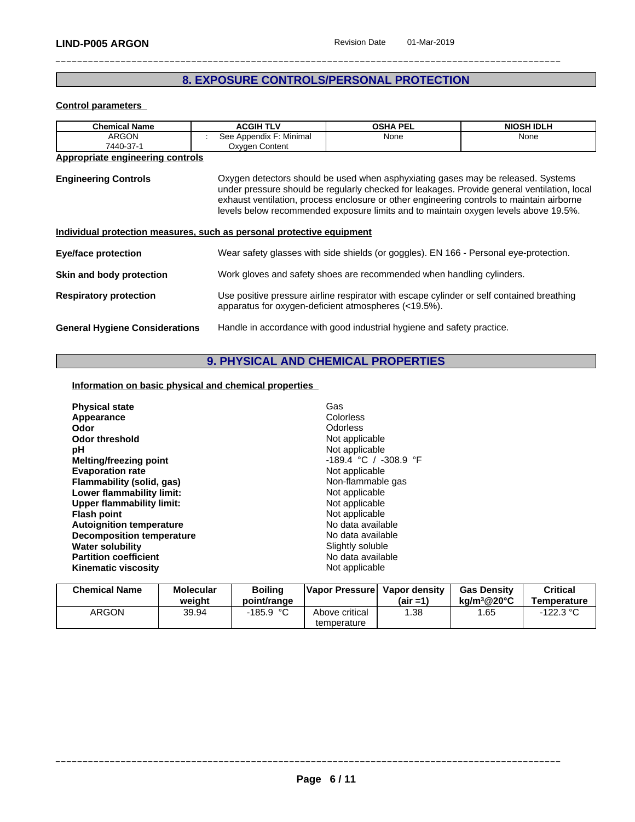## **8. EXPOSURE CONTROLS/PERSONAL PROTECTION**

#### **Control parameters**

| <b>Chemical Name</b>                                                  | <b>ACGIH TLV</b>        | <b>OSHA PEL</b>                                                                                                                                                                                                                                                                                                                                                     | <b>NIOSH IDLH</b> |  |
|-----------------------------------------------------------------------|-------------------------|---------------------------------------------------------------------------------------------------------------------------------------------------------------------------------------------------------------------------------------------------------------------------------------------------------------------------------------------------------------------|-------------------|--|
| <b>ARGON</b>                                                          | See Appendix F: Minimal | None                                                                                                                                                                                                                                                                                                                                                                | None              |  |
| 7440-37-1                                                             | Oxygen Content          |                                                                                                                                                                                                                                                                                                                                                                     |                   |  |
| Appropriate engineering controls                                      |                         |                                                                                                                                                                                                                                                                                                                                                                     |                   |  |
| <b>Engineering Controls</b>                                           |                         | Oxygen detectors should be used when asphyxiating gases may be released. Systems<br>under pressure should be regularly checked for leakages. Provide general ventilation, local<br>exhaust ventilation, process enclosure or other engineering controls to maintain airborne<br>levels below recommended exposure limits and to maintain oxygen levels above 19.5%. |                   |  |
| Individual protection measures, such as personal protective equipment |                         |                                                                                                                                                                                                                                                                                                                                                                     |                   |  |
| <b>Eye/face protection</b>                                            |                         | Wear safety glasses with side shields (or goggles). EN 166 - Personal eye-protection.                                                                                                                                                                                                                                                                               |                   |  |
| Skin and body protection                                              |                         | Work gloves and safety shoes are recommended when handling cylinders.                                                                                                                                                                                                                                                                                               |                   |  |
| <b>Respiratory protection</b>                                         |                         | Use positive pressure airline respirator with escape cylinder or self contained breathing<br>apparatus for oxygen-deficient atmospheres (<19.5%).                                                                                                                                                                                                                   |                   |  |
| <b>General Hygiene Considerations</b>                                 |                         | Handle in accordance with good industrial hygiene and safety practice.                                                                                                                                                                                                                                                                                              |                   |  |

## **9. PHYSICAL AND CHEMICAL PROPERTIES**

## **Information on basic physical and chemical properties**

| <b>Chemical Name</b> | <b>Molecular</b><br>weiaht | <b>Boiling</b><br>point/range | <b>IVapor Pressurel</b> | Vapor density<br>(air =1) | <b>Gas Density</b><br>$\textsf{ka/m}^3@20^\circ \textsf{C}$ | Critical<br>Temperature |
|----------------------|----------------------------|-------------------------------|-------------------------|---------------------------|-------------------------------------------------------------|-------------------------|
| <b>ARGON</b>         | 39.94                      | -185.9 °Ր                     | Above critical          | .38                       | .65                                                         | د.∠∠ا                   |
|                      |                            |                               | temperature             |                           |                                                             |                         |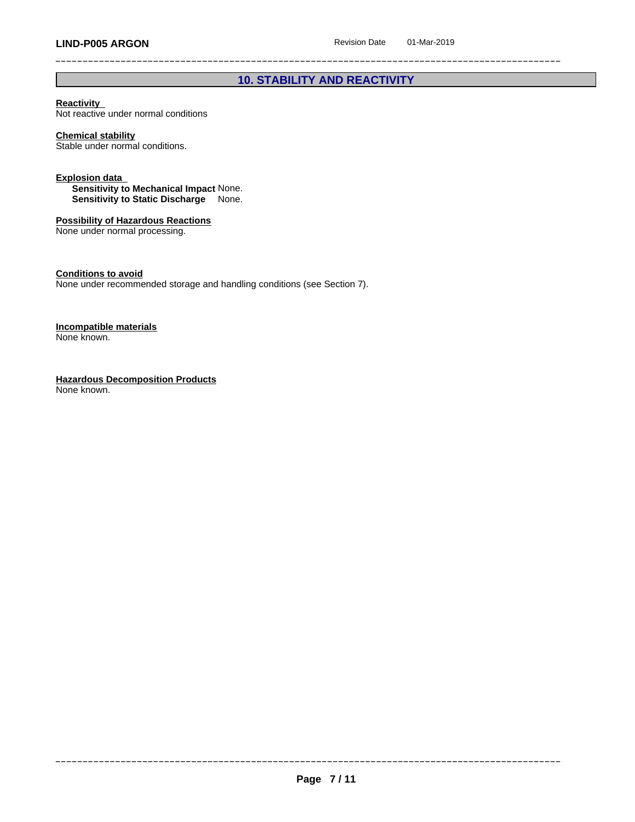## **10. STABILITY AND REACTIVITY**

#### **Reactivity**

Not reactive under normal conditions

#### **Chemical stability**

Stable under normal conditions.

#### **Explosion data**

**Sensitivity to Mechanical Impact** None. **Sensitivity to Static Discharge** None.

## **Possibility of Hazardous Reactions**

None under normal processing.

**Conditions to avoid**

None under recommended storage and handling conditions (see Section 7).

#### **Incompatible materials** None known.

**Hazardous Decomposition Products** None known.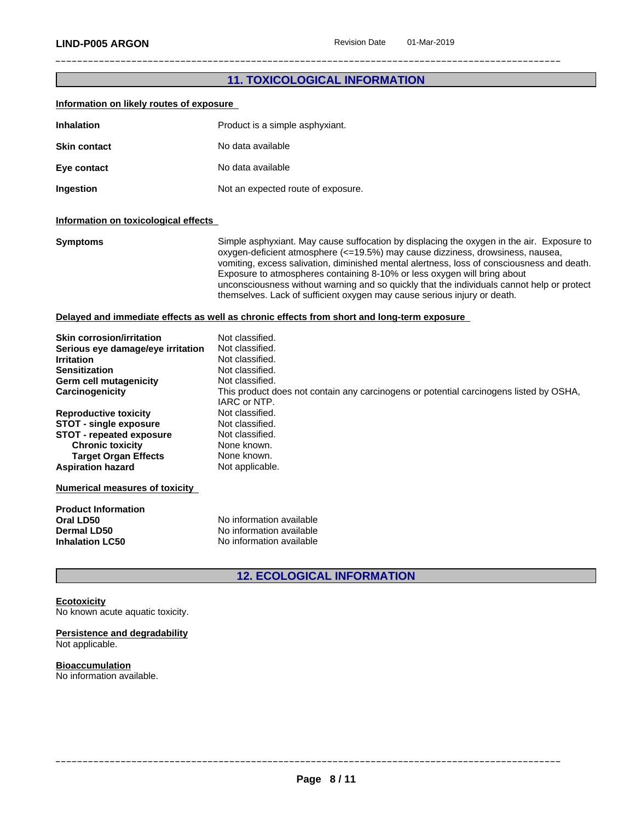## **11. TOXICOLOGICAL INFORMATION**

| Information on likely routes of exposure                                                                                                                                                                                                                                                                                             |                                                                                                                                                                                                                                                                                                                                                                                                                                                                                                                                 |
|--------------------------------------------------------------------------------------------------------------------------------------------------------------------------------------------------------------------------------------------------------------------------------------------------------------------------------------|---------------------------------------------------------------------------------------------------------------------------------------------------------------------------------------------------------------------------------------------------------------------------------------------------------------------------------------------------------------------------------------------------------------------------------------------------------------------------------------------------------------------------------|
| <b>Inhalation</b>                                                                                                                                                                                                                                                                                                                    | Product is a simple asphyxiant.                                                                                                                                                                                                                                                                                                                                                                                                                                                                                                 |
| <b>Skin contact</b>                                                                                                                                                                                                                                                                                                                  | No data available                                                                                                                                                                                                                                                                                                                                                                                                                                                                                                               |
| Eye contact                                                                                                                                                                                                                                                                                                                          | No data available                                                                                                                                                                                                                                                                                                                                                                                                                                                                                                               |
| Ingestion                                                                                                                                                                                                                                                                                                                            | Not an expected route of exposure.                                                                                                                                                                                                                                                                                                                                                                                                                                                                                              |
| Information on toxicological effects                                                                                                                                                                                                                                                                                                 |                                                                                                                                                                                                                                                                                                                                                                                                                                                                                                                                 |
| Symptoms                                                                                                                                                                                                                                                                                                                             | Simple asphyxiant. May cause suffocation by displacing the oxygen in the air. Exposure to<br>oxygen-deficient atmosphere (<=19.5%) may cause dizziness, drowsiness, nausea,<br>vomiting, excess salivation, diminished mental alertness, loss of consciousness and death.<br>Exposure to atmospheres containing 8-10% or less oxygen will bring about<br>unconsciousness without warning and so quickly that the individuals cannot help or protect<br>themselves. Lack of sufficient oxygen may cause serious injury or death. |
|                                                                                                                                                                                                                                                                                                                                      | Delayed and immediate effects as well as chronic effects from short and long-term exposure                                                                                                                                                                                                                                                                                                                                                                                                                                      |
| Skin corrosion/irritation<br>Serious eye damage/eye irritation<br>Irritation<br>Sensitization<br>Germ cell mutagenicity<br>Carcinogenicity<br><b>Reproductive toxicity</b><br><b>STOT - single exposure</b><br><b>STOT - repeated exposure</b><br><b>Chronic toxicity</b><br><b>Target Organ Effects</b><br><b>Aspiration hazard</b> | Not classified.<br>Not classified.<br>Not classified.<br>Not classified.<br>Not classified.<br>This product does not contain any carcinogens or potential carcinogens listed by OSHA,<br>IARC or NTP.<br>Not classified.<br>Not classified.<br>Not classified.<br>None known.<br>None known.<br>Not applicable.                                                                                                                                                                                                                 |
| <b>Numerical measures of toxicity</b>                                                                                                                                                                                                                                                                                                |                                                                                                                                                                                                                                                                                                                                                                                                                                                                                                                                 |
|                                                                                                                                                                                                                                                                                                                                      |                                                                                                                                                                                                                                                                                                                                                                                                                                                                                                                                 |

| <b>Product Information</b> |                          |
|----------------------------|--------------------------|
| Oral LD50                  | No information available |
| Dermal LD50                | No information available |
| <b>Inhalation LC50</b>     | No information available |

## **12. ECOLOGICAL INFORMATION**

#### **Ecotoxicity**

No known acute aquatic toxicity.

#### **Persistence and degradability** Not applicable.

## **Bioaccumulation**

No information available.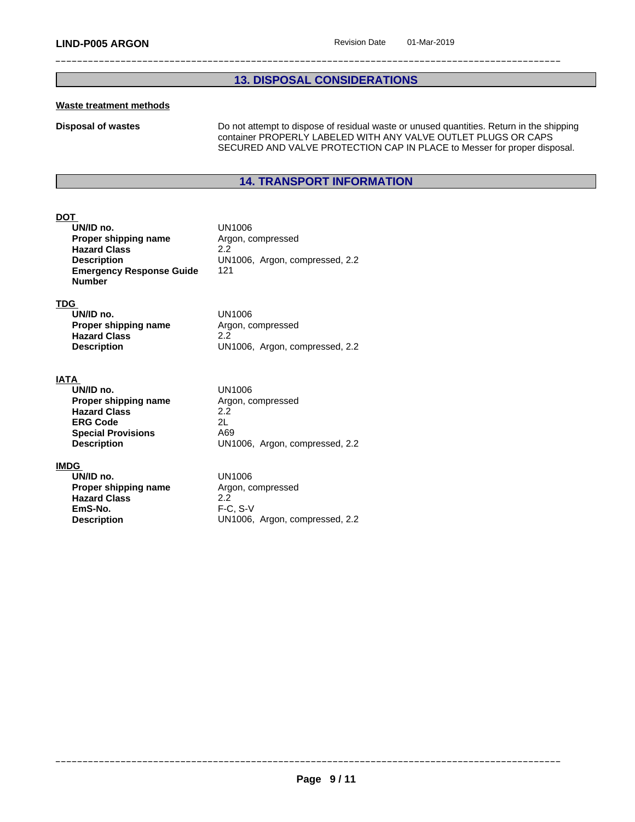## **13. DISPOSAL CONSIDERATIONS**

#### **Waste treatment methods**

**Disposal of wastes Do not attempt to dispose of residual waste or unused quantities. Return in the shipping** container PROPERLY LABELED WITH ANY VALVE OUTLET PLUGS OR CAPS SECURED AND VALVE PROTECTION CAP IN PLACE to Messer for proper disposal.

## **14. TRANSPORT INFORMATION**

#### **DOT**

| UN/ID no.                       | UN1006                  |
|---------------------------------|-------------------------|
| Proper shipping name            | Argon, compressed       |
| <b>Hazard Class</b>             | 2.2                     |
| <b>Description</b>              | UN1006, Argon, compress |
| <b>Emergency Response Guide</b> | 121                     |
| Number                          |                         |

#### **TDG**

| UN/ID no.            | UN1006                         |
|----------------------|--------------------------------|
| Proper shipping name | Argon, compressed              |
| <b>Hazard Class</b>  | 2.2                            |
| <b>Description</b>   | UN1006, Argon, compressed, 2.2 |

**Description** UN1006, Argon, compressed, 2.2

### **IATA**

| UN/ID no.                 | UN1006                         |  |
|---------------------------|--------------------------------|--|
| Proper shipping name      | Argon, compressed              |  |
| <b>Hazard Class</b>       | 2.2                            |  |
| <b>ERG Code</b>           | 2L                             |  |
| <b>Special Provisions</b> | A69                            |  |
| <b>Description</b>        | UN1006, Argon, compressed, 2.2 |  |

#### **IMDG**

**UN/ID no.**<br> **Proper shipping name** Argon, compressed **Proper shipping name Hazard Class** 2.2<br> **EmS-No.** F-C **EmS-No.** F-C, S-V<br>**Description** UN1006,

**Description** UN1006, Argon, compressed, 2.2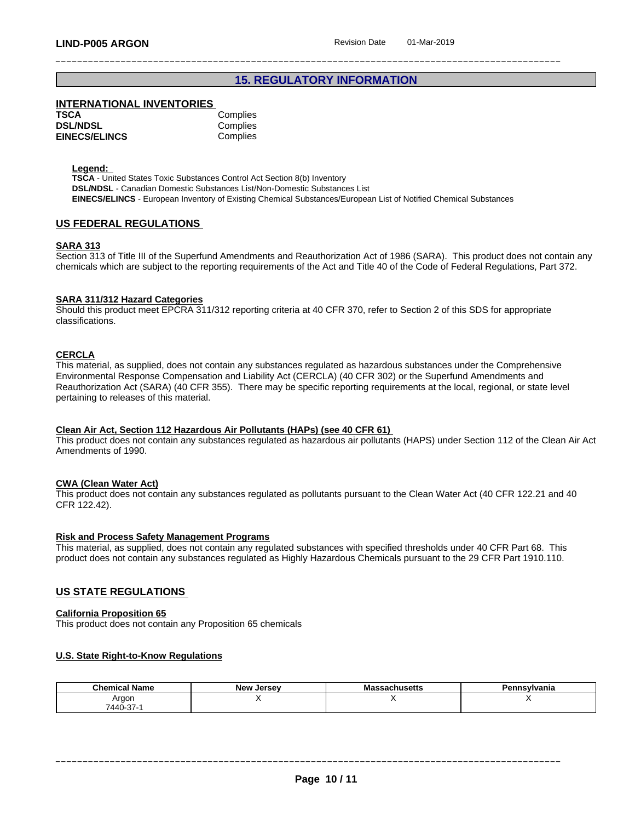## **15. REGULATORY INFORMATION**

#### **INTERNATIONAL INVENTORIES**

| TSCA                 | Complies |
|----------------------|----------|
| <b>DSL/NDSL</b>      | Complies |
| <b>EINECS/ELINCS</b> | Complies |

#### **Legend:**

**TSCA** - United States Toxic Substances Control Act Section 8(b) Inventory **DSL/NDSL** - Canadian Domestic Substances List/Non-Domestic Substances List **EINECS/ELINCS** - European Inventory of Existing Chemical Substances/European List of Notified Chemical Substances

#### **US FEDERAL REGULATIONS**

#### **SARA 313**

Section 313 of Title III of the Superfund Amendments and Reauthorization Act of 1986 (SARA). This product does not contain any chemicals which are subject to the reporting requirements of the Act and Title 40 of the Code of Federal Regulations, Part 372.

#### **SARA 311/312 Hazard Categories**

Should this product meet EPCRA 311/312 reporting criteria at 40 CFR 370, refer to Section 2 of this SDS for appropriate classifications.

#### **CERCLA**

This material, as supplied, does not contain any substances regulated as hazardous substances under the Comprehensive Environmental Response Compensation and Liability Act (CERCLA) (40 CFR 302) or the Superfund Amendments and Reauthorization Act (SARA) (40 CFR 355). There may be specific reporting requirements at the local, regional, or state level pertaining to releases of this material.

#### **Clean Air Act,Section 112 Hazardous Air Pollutants (HAPs) (see 40 CFR 61)**

This product does not contain any substances regulated as hazardous air pollutants (HAPS) under Section 112 of the Clean Air Act Amendments of 1990.

#### **CWA** (Clean Water Act)

This product does not contain any substances regulated as pollutants pursuant to the Clean Water Act (40 CFR 122.21 and 40 CFR 122.42).

#### **Risk and Process Safety Management Programs**

This material, as supplied, does not contain any regulated substances with specified thresholds under 40 CFR Part 68. This product does not contain any substances regulated as Highly Hazardous Chemicals pursuant to the 29 CFR Part 1910.110.

#### **US STATE REGULATIONS**

#### **California Proposition 65**

This product does not contain any Proposition 65 chemicals

#### **U.S. State Right-to-Know Regulations**

| <b>Chemical Name</b> | <b>Jersey</b><br>New | $T$ . $C$ $\Delta T$ $\ldots$<br>issachusetts<br>. <i>.</i> | ∍.<br>∋nsylvania |
|----------------------|----------------------|-------------------------------------------------------------|------------------|
| Argor                |                      |                                                             |                  |
| 7440-37-1            |                      |                                                             |                  |